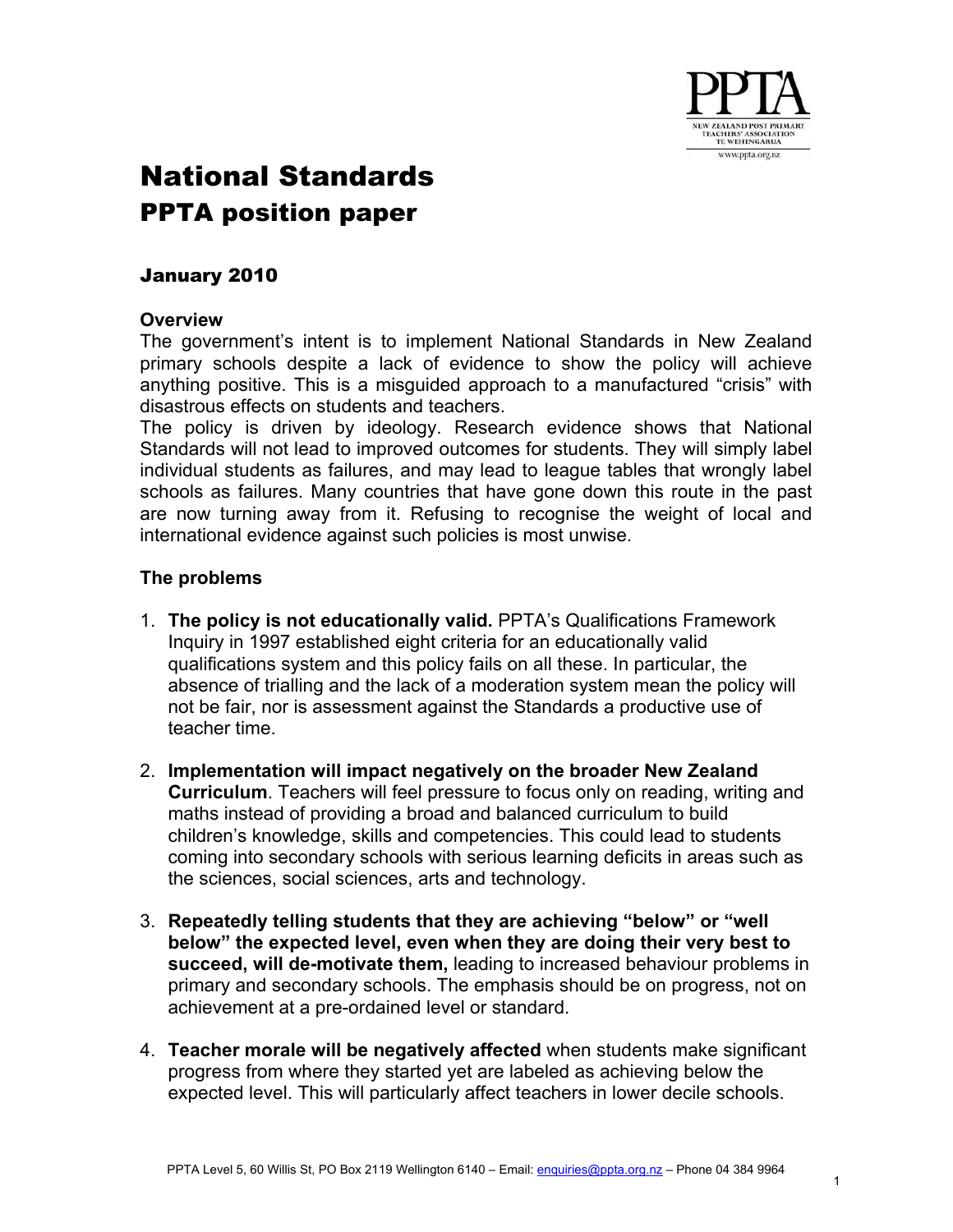

## National Standards PPTA position paper

## January 2010

## **Overview**

The government's intent is to implement National Standards in New Zealand primary schools despite a lack of evidence to show the policy will achieve anything positive. This is a misguided approach to a manufactured "crisis" with disastrous effects on students and teachers.

The policy is driven by ideology. Research evidence shows that National Standards will not lead to improved outcomes for students. They will simply label individual students as failures, and may lead to league tables that wrongly label schools as failures. Many countries that have gone down this route in the past are now turning away from it. Refusing to recognise the weight of local and international evidence against such policies is most unwise.

## **The problems**

- 1. **The policy is not educationally valid.** PPTA's Qualifications Framework Inquiry in 1997 established eight criteria for an educationally valid qualifications system and this policy fails on all these. In particular, the absence of trialling and the lack of a moderation system mean the policy will not be fair, nor is assessment against the Standards a productive use of teacher time.
- 2. **Implementation will impact negatively on the broader New Zealand Curriculum**. Teachers will feel pressure to focus only on reading, writing and maths instead of providing a broad and balanced curriculum to build children's knowledge, skills and competencies. This could lead to students coming into secondary schools with serious learning deficits in areas such as the sciences, social sciences, arts and technology.
- 3. **Repeatedly telling students that they are achieving "below" or "well below" the expected level, even when they are doing their very best to succeed, will de-motivate them,** leading to increased behaviour problems in primary and secondary schools. The emphasis should be on progress, not on achievement at a pre-ordained level or standard.
- 4. **Teacher morale will be negatively affected** when students make significant progress from where they started yet are labeled as achieving below the expected level. This will particularly affect teachers in lower decile schools.